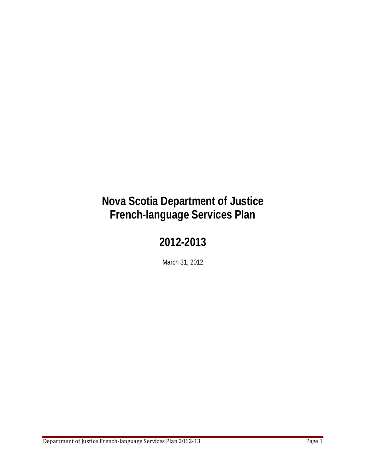# **Nova Scotia Department of Justice French-language Services Plan**

## **2012-2013**

March 31, 2012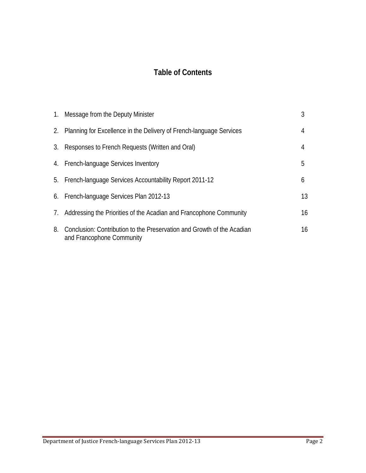## **Table of Contents**

|    | 1. Message from the Deputy Minister                                                                 | 3  |
|----|-----------------------------------------------------------------------------------------------------|----|
|    | 2. Planning for Excellence in the Delivery of French-language Services                              | 4  |
|    | 3. Responses to French Requests (Written and Oral)                                                  | 4  |
|    | 4. French-language Services Inventory                                                               | 5  |
|    | 5. French-language Services Accountability Report 2011-12                                           | 6  |
|    | 6. French-language Services Plan 2012-13                                                            | 13 |
|    | 7. Addressing the Priorities of the Acadian and Francophone Community                               | 16 |
| 8. | Conclusion: Contribution to the Preservation and Growth of the Acadian<br>and Francophone Community | 16 |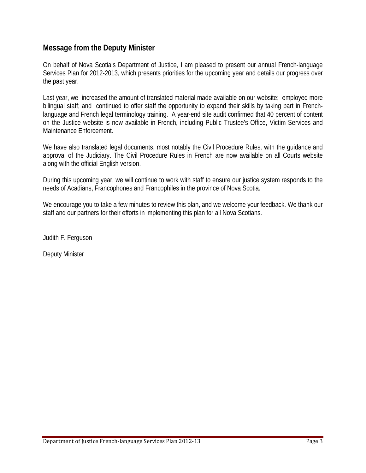## **Message from the Deputy Minister**

On behalf of Nova Scotia's Department of Justice, I am pleased to present our annual French-language Services Plan for 2012-2013, which presents priorities for the upcoming year and details our progress over the past year.

Last year, we increased the amount of translated material made available on our website; employed more bilingual staff; and continued to offer staff the opportunity to expand their skills by taking part in Frenchlanguage and French legal terminology training. A year-end site audit confirmed that 40 percent of content on the Justice website is now available in French, including Public Trustee's Office, Victim Services and Maintenance Enforcement.

We have also translated legal documents, most notably the Civil Procedure Rules, with the guidance and approval of the Judiciary. The Civil Procedure Rules in French are now available on all Courts website along with the official English version.

During this upcoming year, we will continue to work with staff to ensure our justice system responds to the needs of Acadians, Francophones and Francophiles in the province of Nova Scotia.

We encourage you to take a few minutes to review this plan, and we welcome your feedback. We thank our staff and our partners for their efforts in implementing this plan for all Nova Scotians.

Judith F. Ferguson

Deputy Minister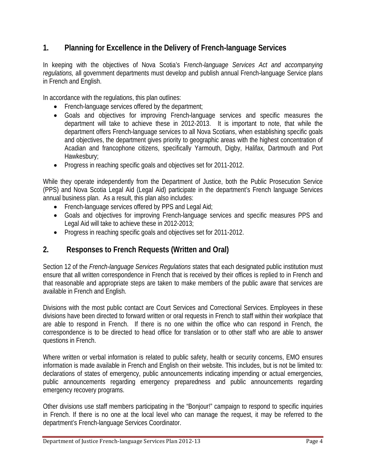## **1. Planning for Excellence in the Delivery of French-language Services**

In keeping with the objectives of Nova Scotia's F*rench-language Services Act and accompanying regulations,* all government departments must develop and publish annual French-language Service plans in French and English.

In accordance with the regulations, this plan outlines:

- French-language services offered by the department;
- Goals and objectives for improving French-language services and specific measures the department will take to achieve these in 2012-2013. It is important to note, that while the department offers French-language services to all Nova Scotians, when establishing specific goals and objectives, the department gives priority to geographic areas with the highest concentration of Acadian and francophone citizens, specifically Yarmouth, Digby, Halifax, Dartmouth and Port Hawkesbury;
- Progress in reaching specific goals and objectives set for 2011-2012.

While they operate independently from the Department of Justice, both the Public Prosecution Service (PPS) and Nova Scotia Legal Aid (Legal Aid) participate in the department's French language Services annual business plan. As a result, this plan also includes:

- French-language services offered by PPS and Legal Aid;
- Goals and objectives for improving French-language services and specific measures PPS and Legal Aid will take to achieve these in 2012-2013;
- Progress in reaching specific goals and objectives set for 2011-2012.

## **2. Responses to French Requests (Written and Oral)**

Section 12 of the *French-language Services Regulations* states that each designated public institution must ensure that all written correspondence in French that is received by their offices is replied to in French and that reasonable and appropriate steps are taken to make members of the public aware that services are available in French and English.

Divisions with the most public contact are Court Services and Correctional Services. Employees in these divisions have been directed to forward written or oral requests in French to staff within their workplace that are able to respond in French. If there is no one within the office who can respond in French, the correspondence is to be directed to head office for translation or to other staff who are able to answer questions in French.

Where written or verbal information is related to public safety, health or security concerns, EMO ensures information is made available in French and English on their website. This includes, but is not be limited to: declarations of states of emergency, public announcements indicating impending or actual emergencies, public announcements regarding emergency preparedness and public announcements regarding emergency recovery programs.

Other divisions use staff members participating in the "Bonjour!" campaign to respond to specific inquiries in French. If there is no one at the local level who can manage the request, it may be referred to the department's French-language Services Coordinator.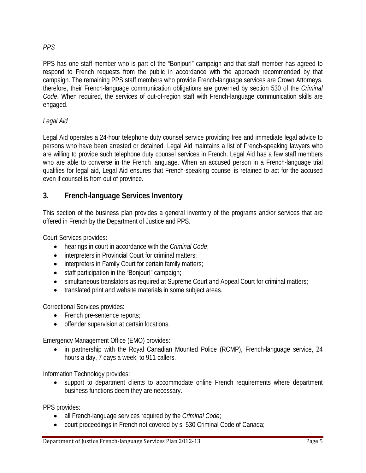#### *PPS*

PPS has one staff member who is part of the "Bonjour!" campaign and that staff member has agreed to respond to French requests from the public in accordance with the approach recommended by that campaign. The remaining PPS staff members who provide French-language services are Crown Attorneys, therefore, their French-language communication obligations are governed by section 530 of the *Criminal Code*. When required, the services of out-of-region staff with French-language communication skills are engaged.

## *Legal Aid*

Legal Aid operates a 24-hour telephone duty counsel service providing free and immediate legal advice to persons who have been arrested or detained. Legal Aid maintains a list of French-speaking lawyers who are willing to provide such telephone duty counsel services in French. Legal Aid has a few staff members who are able to converse in the French language. When an accused person in a French-language trial qualifies for legal aid, Legal Aid ensures that French-speaking counsel is retained to act for the accused even if counsel is from out of province.

## **3. French-language Services Inventory**

This section of the business plan provides a general inventory of the programs and/or services that are offered in French by the Department of Justice and PPS.

Court Services provides**:**

- hearings in court in accordance with the *Criminal Code*;
- interpreters in Provincial Court for criminal matters;
- interpreters in Family Court for certain family matters;
- staff participation in the "Bonjour!" campaign;
- simultaneous translators as required at Supreme Court and Appeal Court for criminal matters;
- translated print and website materials in some subject areas.

Correctional Services provides:

- French pre-sentence reports;
- offender supervision at certain locations.

Emergency Management Office (EMO) provides:

• in partnership with the Royal Canadian Mounted Police (RCMP), French-language service, 24 hours a day, 7 days a week, to 911 callers.

Information Technology provides:

• support to department clients to accommodate online French requirements where department business functions deem they are necessary.

PPS provides:

- all French-language services required by the *Criminal Code*;
- court proceedings in French not covered by s. 530 Criminal Code of Canada;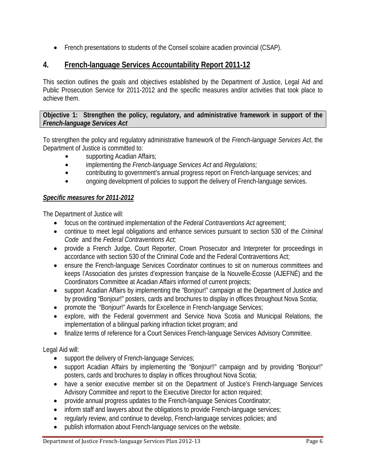• French presentations to students of the Conseil scolaire acadien provincial (CSAP).

## **4. French-language Services Accountability Report 2011-12**

This section outlines the goals and objectives established by the Department of Justice, Legal Aid and Public Prosecution Service for 2011-2012 and the specific measures and/or activities that took place to achieve them.

**Objective 1: Strengthen the policy, regulatory, and administrative framework in support of the**  *French-language Services Act*

To strengthen the policy and regulatory administrative framework of the *French-language Services Act*, the Department of Justice is committed to:

- supporting Acadian Affairs;
- $\bullet$  implementing the *French-language Services Act* and *Regulations;*
- contributing to government's annual progress report on French-language services; and
- ongoing development of policies to support the delivery of French-language services.

#### *Specific measures for 2011-2012*

The Department of Justice will:

- focus on the continued implementation of the *Federal Contraventions Act* agreement;
- continue to meet legal obligations and enhance services pursuant to section 530 of the *Criminal Code* and the *Federal Contraventions Act;*
- provide a French Judge, Court Reporter, Crown Prosecutor and Interpreter for proceedings in accordance with section 530 of the Criminal Code and the Federal Contraventions Act;
- ensure the French-language Services Coordinator continues to sit on numerous committees and keeps l'Association des juristes d'expression française de la Nouvelle-Écosse (AJEFNÉ) and the Coordinators Committee at Acadian Affairs informed of current projects;
- support Acadian Affairs by implementing the "Bonjour!" campaign at the Department of Justice and by providing "Bonjour!" posters, cards and brochures to display in offices throughout Nova Scotia;
- promote the "Bonjour!" Awards for Excellence in French-language Services;
- explore, with the Federal government and Service Nova Scotia and Municipal Relations, the implementation of a bilingual parking infraction ticket program; and
- finalize terms of reference for a Court Services French-language Services Advisory Committee.

Legal Aid will:

- support the delivery of French-language Services;
- support Acadian Affairs by implementing the "Bonjour!!" campaign and by providing "Bonjour!" posters, cards and brochures to display in offices throughout Nova Scotia;
- have a senior executive member sit on the Department of Justice's French-language Services Advisory Committee and report to the Executive Director for action required;
- provide annual progress updates to the French-language Services Coordinator;
- inform staff and lawyers about the obligations to provide French-language services;
- regularly review, and continue to develop, French-language services policies; and
- publish information about French-language services on the website.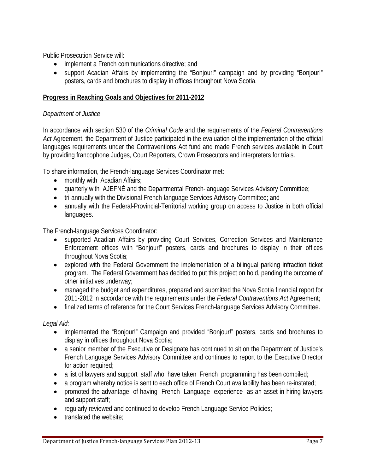Public Prosecution Service will:

- implement a French communications directive; and
- support Acadian Affairs by implementing the "Bonjour!" campaign and by providing "Bonjour!" posters, cards and brochures to display in offices throughout Nova Scotia.

#### **Progress in Reaching Goals and Objectives for 2011-2012**

#### *Department of Justice*

In accordance with section 530 of the *Criminal Code* and the requirements of the *Federal Contraventions Act* Agreement, the Department of Justice participated in the evaluation of the implementation of the official languages requirements under the Contraventions Act fund and made French services available in Court by providing francophone Judges, Court Reporters, Crown Prosecutors and interpreters for trials.

To share information, the French-language Services Coordinator met:

- monthly with Acadian Affairs;
- quarterly with AJEFNÉ and the Departmental French-language Services Advisory Committee;
- tri-annually with the Divisional French-language Services Advisory Committee; and
- annually with the Federal-Provincial-Territorial working group on access to Justice in both official languages.

The French-language Services Coordinator:

- supported Acadian Affairs by providing Court Services, Correction Services and Maintenance Enforcement offices with "Bonjour!" posters, cards and brochures to display in their offices throughout Nova Scotia;
- explored with the Federal Government the implementation of a bilingual parking infraction ticket program. The Federal Government has decided to put this project on hold, pending the outcome of other initiatives underway;
- managed the budget and expenditures, prepared and submitted the Nova Scotia financial report for 2011-2012 in accordance with the requirements under the *Federal Contraventions Act* Agreement;
- finalized terms of reference for the Court Services French-language Services Advisory Committee.

*Legal Aid:* 

- implemented the "Bonjour!" Campaign and provided "Bonjour!" posters, cards and brochures to display in offices throughout Nova Scotia;
- a senior member of the Executive or Designate has continued to sit on the Department of Justice's French Language Services Advisory Committee and continues to report to the Executive Director for action required;
- a list of lawyers and support staff who have taken French programming has been compiled;
- a program whereby notice is sent to each office of French Court availability has been re-instated;
- promoted the advantage of having French Language experience as an asset in hiring lawyers and support staff;
- regularly reviewed and continued to develop French Language Service Policies;
- translated the website;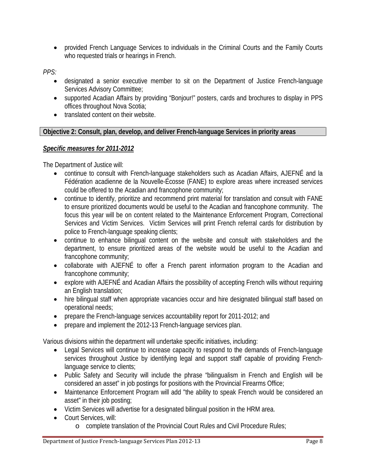• provided French Language Services to individuals in the Criminal Courts and the Family Courts who requested trials or hearings in French.

*PPS:*

- designated a senior executive member to sit on the Department of Justice French-language Services Advisory Committee;
- supported Acadian Affairs by providing "Bonjour!" posters, cards and brochures to display in PPS offices throughout Nova Scotia;
- translated content on their website.

### **Objective 2: Consult, plan, develop, and deliver French-language Services in priority areas**

## *Specific measures for 2011-2012*

The Department of Justice will:

- continue to consult with French-language stakeholders such as Acadian Affairs, AJEFNÉ and la Fédération acadienne de la Nouvelle-Écosse (FANE) to explore areas where increased services could be offered to the Acadian and francophone community;
- continue to identify, prioritize and recommend print material for translation and consult with FANE to ensure prioritized documents would be useful to the Acadian and francophone community. The focus this year will be on content related to the Maintenance Enforcement Program, Correctional Services and Victim Services. Victim Services will print French referral cards for distribution by police to French-language speaking clients;
- continue to enhance bilingual content on the website and consult with stakeholders and the department, to ensure prioritized areas of the website would be useful to the Acadian and francophone community;
- collaborate with AJEFNÉ to offer a French parent information program to the Acadian and francophone community;
- explore with AJEFNÉ and Acadian Affairs the possibility of accepting French wills without requiring an English translation;
- hire bilingual staff when appropriate vacancies occur and hire designated bilingual staff based on operational needs;
- prepare the French-language services accountability report for 2011-2012; and
- prepare and implement the 2012-13 French-language services plan.

Various divisions within the department will undertake specific initiatives, including:

- Legal Services will continue to increase capacity to respond to the demands of French-language services throughout Justice by identifying legal and support staff capable of providing Frenchlanguage service to clients;
- Public Safety and Security will include the phrase "bilingualism in French and English will be considered an asset" in job postings for positions with the Provincial Firearms Office;
- Maintenance Enforcement Program will add "the ability to speak French would be considered an asset" in their job posting;
- Victim Services will advertise for a designated bilingual position in the HRM area.
- Court Services, will:
	- o complete translation of the Provincial Court Rules and Civil Procedure Rules;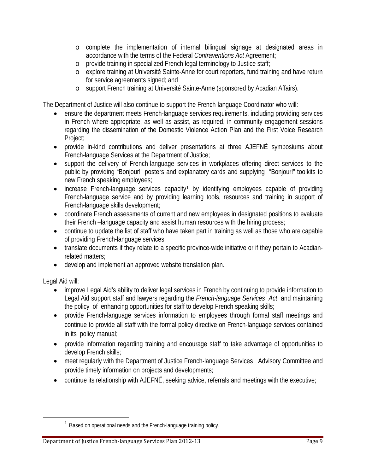- o complete the implementation of internal bilingual signage at designated areas in accordance with the terms of the Federal *Contraventions Act* Agreement;
- o provide training in specialized French legal terminology to Justice staff;
- o explore training at Université Sainte-Anne for court reporters, fund training and have return for service agreements signed; and
- o support French training at Université Sainte-Anne (sponsored by Acadian Affairs).

The Department of Justice will also continue to support the French-language Coordinator who will:

- ensure the department meets French-language services requirements, including providing services in French where appropriate, as well as assist, as required, in community engagement sessions regarding the dissemination of the Domestic Violence Action Plan and the First Voice Research Project;
- provide in-kind contributions and deliver presentations at three AJEFNÉ symposiums about French-language Services at the Department of Justice;
- support the delivery of French-language services in workplaces offering direct services to the public by providing "Bonjour!" posters and explanatory cards and supplying "Bonjour!" toolkits to new French speaking employees;
- increase French-language services capacity<sup>[1](#page-8-0)</sup> by identifying employees capable of providing French-language service and by providing learning tools, resources and training in support of French-language skills development;
- coordinate French assessments of current and new employees in designated positions to evaluate their French –language capacity and assist human resources with the hiring process;
- continue to update the list of staff who have taken part in training as well as those who are capable of providing French-language services;
- translate documents if they relate to a specific province-wide initiative or if they pertain to Acadianrelated matters;
- develop and implement an approved website translation plan.

Legal Aid will:

- improve Legal Aid's ability to deliver legal services in French by continuing to provide information to Legal Aid support staff and lawyers regarding the *French-language Services Act* and maintaining the policy of enhancing opportunities for staff to develop French speaking skills;
- provide French-language services information to employees through formal staff meetings and continue to provide all staff with the formal policy directive on French-language services contained in its policy manual;
- provide information regarding training and encourage staff to take advantage of opportunities to develop French skills;
- meet regularly with the Department of Justice French-language Services Advisory Committee and provide timely information on projects and developments;
- continue its relationship with AJEFNÉ, seeking advice, referrals and meetings with the executive;

<span id="page-8-0"></span> $<sup>1</sup>$  Based on operational needs and the French-language training policy.</sup>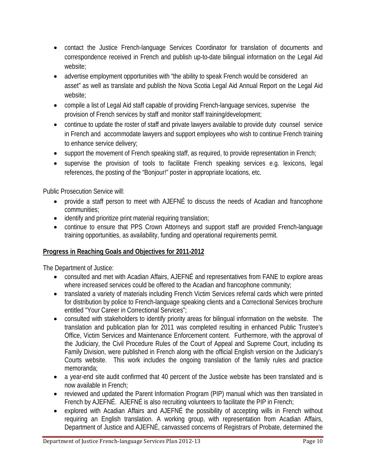- contact the Justice French-language Services Coordinator for translation of documents and correspondence received in French and publish up-to-date bilingual information on the Legal Aid website;
- advertise employment opportunities with "the ability to speak French would be considered an asset" as well as translate and publish the Nova Scotia Legal Aid Annual Report on the Legal Aid website;
- compile a list of Legal Aid staff capable of providing French-language services, supervise the provision of French services by staff and monitor staff training/development;
- continue to update the roster of staff and private lawyers available to provide duty counsel service in French and accommodate lawyers and support employees who wish to continue French training to enhance service delivery;
- support the movement of French speaking staff, as required, to provide representation in French;
- supervise the provision of tools to facilitate French speaking services e.g. lexicons, legal references, the posting of the "Bonjour!" poster in appropriate locations, etc.

Public Prosecution Service will:

- provide a staff person to meet with AJEFNÉ to discuss the needs of Acadian and francophone communities;
- identify and prioritize print material requiring translation;
- continue to ensure that PPS Crown Attorneys and support staff are provided French-language training opportunities, as availability, funding and operational requirements permit.

## **Progress in Reaching Goals and Objectives for 2011-2012**

The Department of Justice:

- consulted and met with Acadian Affairs, AJEFNÉ and representatives from FANE to explore areas where increased services could be offered to the Acadian and francophone community;
- translated a variety of materials including French Victim Services referral cards which were printed for distribution by police to French-language speaking clients and a Correctional Services brochure entitled "Your Career in Correctional Services";
- consulted with stakeholders to identify priority areas for bilingual information on the website. The translation and publication plan for 2011 was completed resulting in enhanced Public Trustee's Office, Victim Services and Maintenance Enforcement content. Furthermore, with the approval of the Judiciary, the Civil Procedure Rules of the Court of Appeal and Supreme Court, including its Family Division, were published in French along with the official English version on the Judiciary's Courts website. This work includes the ongoing translation of the family rules and practice memoranda;
- a year-end site audit confirmed that 40 percent of the Justice website has been translated and is now available in French;
- reviewed and updated the Parent Information Program (PIP) manual which was then translated in French by AJEFNÉ. AJEFNÉ is also recruiting volunteers to facilitate the PIP in French;
- explored with Acadian Affairs and AJEFNÉ the possibility of accepting wills in French without requiring an English translation. A working group, with representation from Acadian Affairs, Department of Justice and AJEFNÉ, canvassed concerns of Registrars of Probate, determined the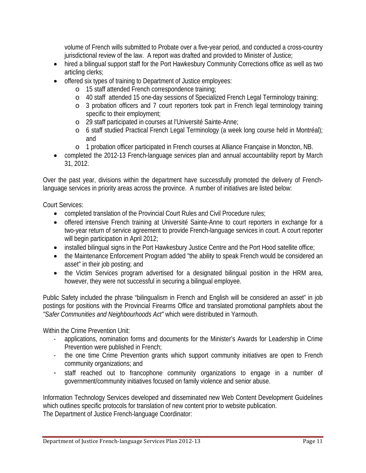volume of French wills submitted to Probate over a five-year period, and conducted a cross-country jurisdictional review of the law. A report was drafted and provided to Minister of Justice;

- hired a bilingual support staff for the Port Hawkesbury Community Corrections office as well as two articling clerks;
- offered six types of training to Department of Justice employees:
	- o 15 staff attended French correspondence training;
	- o 40 staff attended 15 one-day sessions of Specialized French Legal Terminology training;
	- o 3 probation officers and 7 court reporters took part in French legal terminology training specific to their employment;
	- o 29 staff participated in courses at l'Université Sainte-Anne;
	- o 6 staff studied Practical French Legal Terminology (a week long course held in Montréal); and
	- o 1 probation officer participated in French courses at Alliance Française in Moncton, NB.
- completed the 2012-13 French-language services plan and annual accountability report by March 31, 2012.

Over the past year, divisions within the department have successfully promoted the delivery of Frenchlanguage services in priority areas across the province. A number of initiatives are listed below:

Court Services:

- completed translation of the Provincial Court Rules and Civil Procedure rules;
- offered intensive French training at Université Sainte-Anne to court reporters in exchange for a two-year return of service agreement to provide French-language services in court. A court reporter will begin participation in April 2012;
- installed bilingual signs in the Port Hawkesbury Justice Centre and the Port Hood satellite office;
- the Maintenance Enforcement Program added "the ability to speak French would be considered an asset" in their job posting; and
- the Victim Services program advertised for a designated bilingual position in the HRM area, however, they were not successful in securing a bilingual employee.

Public Safety included the phrase "bilingualism in French and English will be considered an asset" in job postings for positions with the Provincial Firearms Office and translated promotional pamphlets about the *"Safer Communities and Neighbourhoods Act"* which were distributed in Yarmouth.

Within the Crime Prevention Unit:

- applications, nomination forms and documents for the Minister's Awards for Leadership in Crime Prevention were published in French;
- the one time Crime Prevention grants which support community initiatives are open to French community organizations; and
- staff reached out to francophone community organizations to engage in a number of government/community initiatives focused on family violence and senior abuse.

Information Technology Services developed and disseminated new Web Content Development Guidelines which outlines specific protocols for translation of new content prior to website publication. The Department of Justice French-language Coordinator: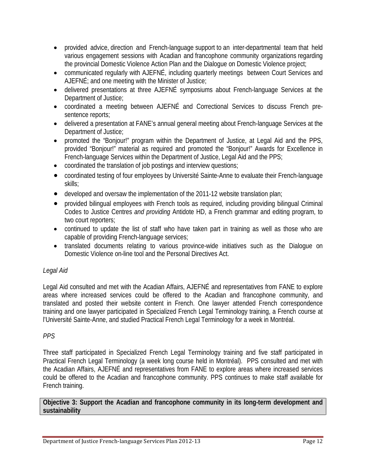- provided advice, direction and French-language support to an inter-departmental team that held various engagement sessions with Acadian and francophone community organizations regarding the provincial Domestic Violence Action Plan and the Dialogue on Domestic Violence project;
- communicated regularly with AJEFNÉ, including quarterly meetings between Court Services and AJEFNÉ; and one meeting with the Minister of Justice;
- delivered presentations at three AJEFNÉ symposiums about French-language Services at the Department of Justice;
- coordinated a meeting between AJEFNÉ and Correctional Services to discuss French presentence reports;
- delivered a presentation at FANE's annual general meeting about French-language Services at the Department of Justice;
- promoted the "Bonjour!" program within the Department of Justice, at Legal Aid and the PPS, provided "Bonjour!" material as required and promoted the "Bonjour!" Awards for Excellence in French-language Services within the Department of Justice, Legal Aid and the PPS;
- coordinated the translation of job postings and interview questions;
- coordinated testing of four employees by Université Sainte-Anne to evaluate their French-language skills;
- developed and oversaw the implementation of the 2011-12 website translation plan;
- provided bilingual employees with French tools as required, including providing bilingual Criminal Codes to Justice Centres *and providing* Antidote HD, a French grammar and editing program, to two court reporters;
- continued to update the list of staff who have taken part in training as well as those who are capable of providing French-language services;
- translated documents relating to various province-wide initiatives such as the Dialogue on Domestic Violence on-line tool and the Personal Directives Act.

## *Legal Aid*

Legal Aid consulted and met with the Acadian Affairs, AJEFNÉ and representatives from FANE to explore areas where increased services could be offered to the Acadian and francophone community, and translated and posted their website content in French. One lawyer attended French correspondence training and one lawyer participated in Specialized French Legal Terminology training, a French course at l'Université Sainte-Anne, and studied Practical French Legal Terminology for a week in Montréal.

## *PPS*

Three staff participated in Specialized French Legal Terminology training and five staff participated in Practical French Legal Terminology (a week long course held in Montréal). PPS consulted and met with the Acadian Affairs, AJEFNÉ and representatives from FANE to explore areas where increased services could be offered to the Acadian and francophone community. PPS continues to make staff available for French training.

**Objective 3: Support the Acadian and francophone community in its long-term development and sustainability**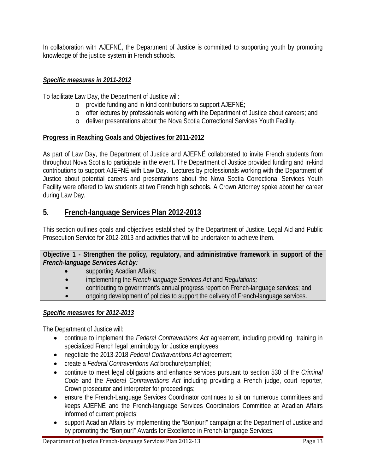In collaboration with AJEFNÉ, the Department of Justice is committed to supporting youth by promoting knowledge of the justice system in French schools.

## *Specific measures in 2011-2012*

To facilitate Law Day, the Department of Justice will:

- o provide funding and in-kind contributions to support AJEFNÉ;
- o offer lectures by professionals working with the Department of Justice about careers; and
- o deliver presentations about the Nova Scotia Correctional Services Youth Facility.

#### **Progress in Reaching Goals and Objectives for 2011-2012**

As part of Law Day, the Department of Justice and AJEFNÉ collaborated to invite French students from throughout Nova Scotia to participate in the event**.** The Department of Justice provided funding and in-kind contributions to support AJEFNÉ with Law Day. Lectures by professionals working with the Department of Justice about potential careers and presentations about the Nova Scotia Correctional Services Youth Facility were offered to law students at two French high schools. A Crown Attorney spoke about her career during Law Day.

## **5. French-language Services Plan 2012-2013**

This section outlines goals and objectives established by the Department of Justice, Legal Aid and Public Prosecution Service for 2012-2013 and activities that will be undertaken to achieve them.

#### **Objective 1 - Strengthen the policy, regulatory, and administrative framework in support of the**  *French-language Services Act by:*

- supporting Acadian Affairs;
- $\bullet$  implementing the *French-language Services Act* and *Regulations;*
- contributing to government's annual progress report on French-language services; and
- ongoing development of policies to support the delivery of French-language services.

### *Specific measures for 2012-2013*

The Department of Justice will:

- continue to implement the *Federal Contraventions Act* agreement, including providing training in specialized French legal terminology for Justice employees;
- negotiate the 2013-2018 *Federal Contraventions Act* agreement;
- create a *Federal Contraventions Act* brochure/pamphlet;
- continue to meet legal obligations and enhance services pursuant to section 530 of the *Criminal Code* and the *Federal Contraventions Act* including providing a French judge, court reporter, Crown prosecutor and interpreter for proceedings;
- ensure the French-Language Services Coordinator continues to sit on numerous committees and keeps AJEFNÉ and the French-language Services Coordinators Committee at Acadian Affairs informed of current projects;
- support Acadian Affairs by implementing the "Bonjour!" campaign at the Department of Justice and by promoting the "Bonjour!" Awards for Excellence in French-language Services;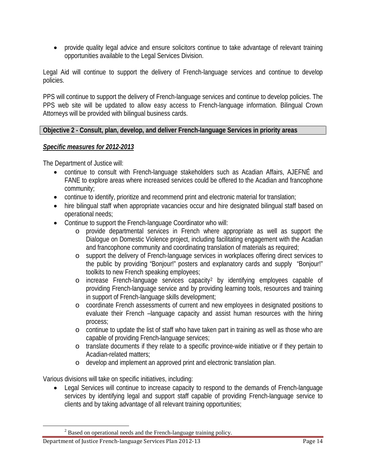• provide quality legal advice and ensure solicitors continue to take advantage of relevant training opportunities available to the Legal Services Division.

Legal Aid will continue to support the delivery of French-language services and continue to develop policies.

PPS will continue to support the delivery of French-language services and continue to develop policies. The PPS web site will be updated to allow easy access to French-language information. Bilingual Crown Attorneys will be provided with bilingual business cards.

#### **Objective 2 - Consult, plan, develop, and deliver French-language Services in priority areas**

#### *Specific measures for 2012-2013*

The Department of Justice will:

- continue to consult with French-language stakeholders such as Acadian Affairs, AJEFNÉ and FANE to explore areas where increased services could be offered to the Acadian and francophone community;
- continue to identify, prioritize and recommend print and electronic material for translation;
- hire bilingual staff when appropriate vacancies occur and hire designated bilingual staff based on operational needs;
- Continue to support the French-language Coordinator who will:
	- o provide departmental services in French where appropriate as well as support the Dialogue on Domestic Violence project, including facilitating engagement with the Acadian and francophone community and coordinating translation of materials as required;
	- o support the delivery of French-language services in workplaces offering direct services to the public by providing "Bonjour!" posters and explanatory cards and supply "Bonjour!" toolkits to new French speaking employees;
	- o increase French-language services capacity[2](#page-13-0) by identifying employees capable of providing French-language service and by providing learning tools, resources and training in support of French-language skills development;
	- o coordinate French assessments of current and new employees in designated positions to evaluate their French –language capacity and assist human resources with the hiring process;
	- o continue to update the list of staff who have taken part in training as well as those who are capable of providing French-language services;
	- o translate documents if they relate to a specific province-wide initiative or if they pertain to Acadian-related matters;
	- o develop and implement an approved print and electronic translation plan.

Various divisions will take on specific initiatives, including:

• Legal Services will continue to increase capacity to respond to the demands of French-language services by identifying legal and support staff capable of providing French-language service to clients and by taking advantage of all relevant training opportunities;

<span id="page-13-0"></span><sup>&</sup>lt;sup>2</sup> Based on operational needs and the French-language training policy.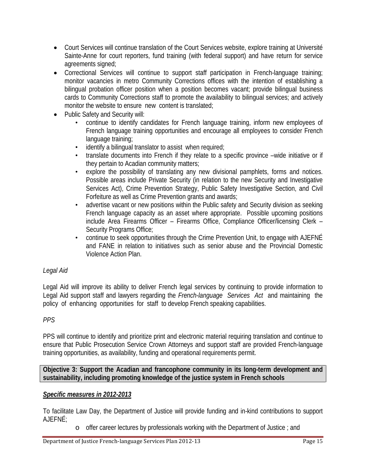- Court Services will continue translation of the Court Services website, explore training at Université Sainte-Anne for court reporters, fund training (with federal support) and have return for service agreements signed;
- Correctional Services will continue to support staff participation in French-language training; monitor vacancies in metro Community Corrections offices with the intention of establishing a bilingual probation officer position when a position becomes vacant; provide bilingual business cards to Community Corrections staff to promote the availability to bilingual services; and actively monitor the website to ensure new content is translated;
- Public Safety and Security will:
	- continue to identify candidates for French language training, inform new employees of French language training opportunities and encourage all employees to consider French language training;
	- identify a bilingual translator to assist when required;
	- translate documents into French if they relate to a specific province –wide initiative or if they pertain to Acadian community matters;
	- explore the possibility of translating any new divisional pamphlets, forms and notices. Possible areas include Private Security (in relation to the new Security and Investigative Services Act), Crime Prevention Strategy, Public Safety Investigative Section, and Civil Forfeiture as well as Crime Prevention grants and awards;
	- advertise vacant or new positions within the Public safety and Security division as seeking French language capacity as an asset where appropriate. Possible upcoming positions include Area Firearms Officer – Firearms Office, Compliance Officer/licensing Clerk – Security Programs Office;
	- continue to seek opportunities through the Crime Prevention Unit, to engage with AJEFNÉ and FANE in relation to initiatives such as senior abuse and the Provincial Domestic Violence Action Plan.

#### *Legal Aid*

Legal Aid will improve its ability to deliver French legal services by continuing to provide information to Legal Aid support staff and lawyers regarding the *French-language Services Act* and maintaining the policy of enhancing opportunities for staff to develop French speaking capabilities.

#### *PPS*

PPS will continue to identify and prioritize print and electronic material requiring translation and continue to ensure that Public Prosecution Service Crown Attorneys and support staff are provided French-language training opportunities, as availability, funding and operational requirements permit.

#### **Objective 3: Support the Acadian and francophone community in its long-term development and sustainability, including promoting knowledge of the justice system in French schools**

#### *Specific measures in 2012-2013*

To facilitate Law Day, the Department of Justice will provide funding and in-kind contributions to support AJEFNÉ;

 $\circ$  offer career lectures by professionals working with the Department of Justice ; and